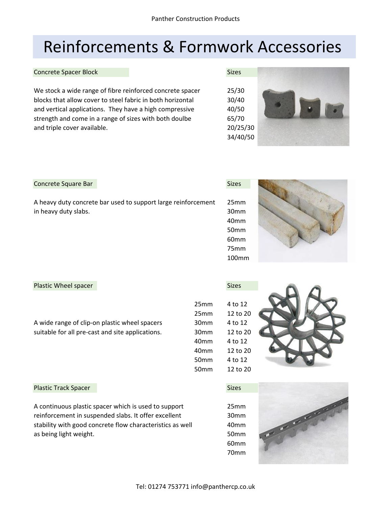# Reinforcements & Formwork Accessories

#### Concrete Spacer Block Sizes Sizes Sizes Sizes Sizes Sizes Sizes Sizes Sizes Sizes Sizes Sizes Sizes Sizes Sizes Sizes Sizes Sizes Sizes Sizes Sizes Sizes Sizes Sizes Sizes Sizes Sizes Sizes Sizes Sizes Sizes Sizes Sizes Si

We stock a wide range of fibre reinforced concrete spacer 25/30 blocks that allow cover to steel fabric in both horizontal 30/40 and vertical applications. They have a high compressive 40/50 strength and come in a range of sizes with both doulbe 65/70 and triple cover available. **20/25/30** 



### Concrete Square Bar

A heavy duty concrete bar used to support large reinforcement 25mm in heavy duty slabs. 30mm

| Sizes |
|-------|
|       |





### Plastic Wheel spacer Sizes and Sizes Sizes Sizes and Sizes Sizes

A wide range of clip-on plastic wheel spacers 30 suitable for all pre-cast and site applications. 30

| 25mm             | 4 to 12  |
|------------------|----------|
| 25 <sub>mm</sub> | 12 to 20 |
| 30mm             | 4 to 12  |
| 30mm             | 12 to 20 |
| 40mm             | 4 to 12  |
| 40mm             | 12 to 20 |
| 50mm             | 4 to 12  |
| 50mm             | 12 to 20 |
|                  |          |



### Plastic Track Spacer Sizes and Sizes Sizes Sizes Sizes Sizes Sizes Sizes Sizes Sizes Sizes Sizes Sizes Sizes Sizes Sizes Sizes Sizes Sizes Sizes Sizes Sizes Sizes Sizes Sizes Sizes Sizes Sizes Sizes Sizes Sizes Sizes Sizes

A continuous plastic spacer which is used to support 25mm reinforcement in suspended slabs. It offer excellent 30mm stability with good concrete flow characteristics as well 40mm as being light weight. The state of the state of the state of the state of the state of the state of the state o

60mm 70mm

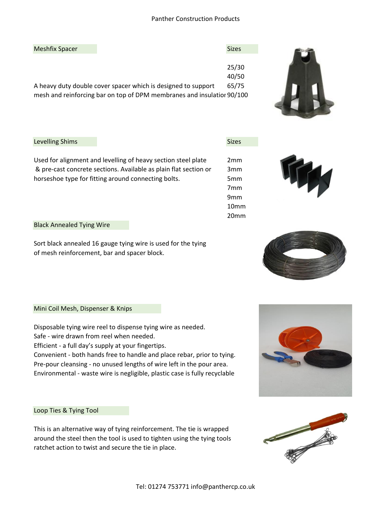| <b>Meshfix Spacer</b> |                                                                        | <b>Sizes</b> |
|-----------------------|------------------------------------------------------------------------|--------------|
|                       |                                                                        |              |
|                       |                                                                        | 25/30        |
|                       |                                                                        | 40/50        |
|                       | A heavy duty double cover spacer which is designed to support          | 65/75        |
|                       | mesh and reinforcing bar on top of DPM membranes and insulatior 90/100 |              |
|                       |                                                                        |              |



9mm 10mm 20mm



#### Black Annealed Tying Wire

Sort black annealed 16 gauge tying wire is used for the tying of mesh reinforcement, bar and spacer block.

Mini Coil Mesh, Dispenser & Knips

Disposable tying wire reel to dispense tying wire as needed.

Safe - wire drawn from reel when needed.

Efficient - a full day's supply at your fingertips.

Convenient - both hands free to handle and place rebar, prior to tying. Pre-pour cleansing - no unused lengths of wire left in the pour area. Environmental - waste wire is negligible, plastic case is fully recyclable

Loop Ties & Tying Tool

This is an alternative way of tying reinforcement. The tie is wrapped around the steel then the tool is used to tighten using the tying tools ratchet action to twist and secure the tie in place.









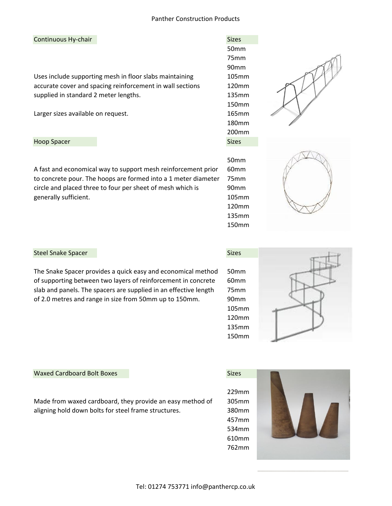#### Continuous Hy-chair

Uses include supporting mesh in floor slabs maintaining accurate cover and spacing reinforcement in wall sections supplied in standard 2 meter lengths.

Larger sizes available on request.

Hoop Spacer

A fast and economical way to support mesh reinforcement prior 60mm to concrete pour. The hoops are formed into a 1 meter diameter 75mm circle and placed three to four per sheet of mesh which is 90mm generally sufficient. The contract of the contract of the contract of the contract of the contract of the contract of the contract of the contract of the contract of the contract of the contract of the contract of the cont

| <b>Sizes</b>      |
|-------------------|
| 50 <sub>mm</sub>  |
| 75mm              |
| 90mm              |
| 105mm             |
| 120mm             |
| 135mm             |
| 150mm             |
| 165mm             |
| 180mm             |
| 200 <sub>mm</sub> |
| عمحنك             |

50mm

120mm 135mm 150mm





#### Steel Snake Spacer Sizes Sizes Sizes Sizes Sizes Sizes Sizes Sizes Sizes Sizes Sizes Sizes Sizes Sizes Sizes Sizes Sizes Sizes Sizes Sizes Sizes Sizes Sizes Sizes Sizes Sizes Sizes Sizes Sizes Sizes Sizes Sizes Sizes Sizes

The Snake Spacer provides a quick easy and economical method 50mm of supporting between two layers of reinforcement in concrete 60mm slab and panels. The spacers are supplied in an effective length 75mm of 2.0 metres and range in size from 50mm up to 150mm. 90mm

105mm 120mm 135mm 150mm



#### Waxed Cardboard Bolt Boxes Sizes Sizes Sizes

Made from waxed cardboard, they provide an easy method of 305mm aligning hold down bolts for steel frame structures. 380mm





Tel: 01274 753771 info@panthercp.co.uk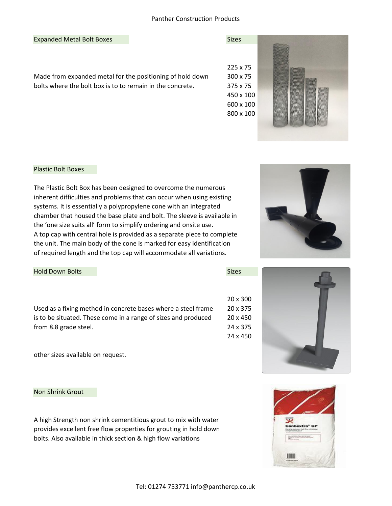#### Expanded Metal Bolt Boxes Sizes Sizes

Made from expanded metal for the positioning of hold down 300 x 75 bolts where the bolt box is to to remain in the concrete. 375 x 75



#### Plastic Bolt Boxes

The Plastic Bolt Box has been designed to overcome the numerous inherent difficulties and problems that can occur when using existing systems. It is essentially a polypropylene cone with an integrated chamber that housed the base plate and bolt. The sleeve is available in the 'one size suits all' form to simplify ordering and onsite use. A top cap with central hole is provided as a separate piece to complete the unit. The main body of the cone is marked for easy identification of required length and the top cap will accommodate all variations.

Hold Down Bolts Sizes Sizes

Used as a fixing method in concrete bases where a steel frame 20 x 375 is to be situated. These come in a range of sizes and produced 20 x 450 from 8.8 grade steel. 24 x 375

other sizes available on request.

#### Non Shrink Grout

A high Strength non shrink cementitious grout to mix with water provides excellent free flow properties for grouting in hold down bolts. Also available in thick section & high flow variations







20 x 300

24 x 450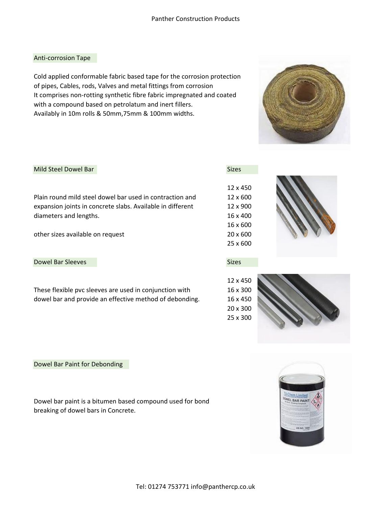### Anti-corrosion Tape

Cold applied conformable fabric based tape for the corrosion protection of pipes, Cables, rods, Valves and metal fittings from corrosion It comprises non-rotting synthetic fibre fabric impregnated and coated with a compound based on petrolatum and inert fillers. Availably in 10m rolls & 50mm,75mm & 100mm widths.



#### Mild Steel Dowel Bar Sizes and Sizes and Sizes and Sizes and Sizes and Sizes and Sizes and Sizes and Sizes and Sizes

Plain round mild steel dowel bar used in contraction and 12 x 600 expansion joints in concrete slabs. Available in different 12 x 900 diameters and lengths. 16 x 400

other sizes available on request 20 x 600

#### Dowel Bar Sleeves Sizes Sizes Sizes Sizes Sizes Sizes Sizes Sizes Sizes Sizes Sizes Sizes Sizes Sizes Sizes Sizes Sizes Sizes Sizes Sizes Sizes Sizes Sizes Sizes Sizes Sizes Sizes Sizes Sizes Sizes Sizes Sizes Sizes Sizes

These flexible pvc sleeves are used in conjunction with 16 x 300 dowel bar and provide an effective method of debonding. 16 x 450











#### Dowel Bar Paint for Debonding

Dowel bar paint is a bitumen based compound used for bond breaking of dowel bars in Concrete.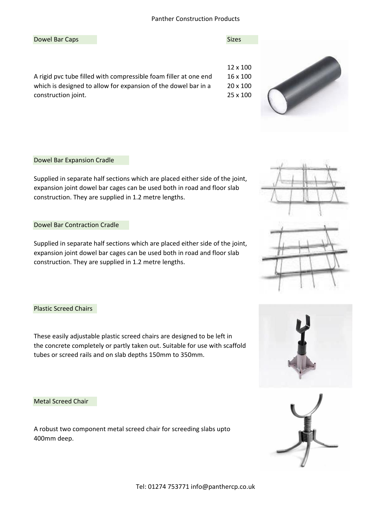#### Dowel Bar Caps Sizes Sizes Sizes Sizes Sizes Sizes Sizes Sizes Sizes Sizes Sizes Sizes Sizes Sizes Sizes Sizes





#### Dowel Bar Expansion Cradle

Supplied in separate half sections which are placed either side of the joint, expansion joint dowel bar cages can be used both in road and floor slab construction. They are supplied in 1.2 metre lengths.

### Dowel Bar Contraction Cradle

Supplied in separate half sections which are placed either side of the joint, expansion joint dowel bar cages can be used both in road and floor slab construction. They are supplied in 1.2 metre lengths.

#### Plastic Screed Chairs

These easily adjustable plastic screed chairs are designed to be left in the concrete completely or partly taken out. Suitable for use with scaffold tubes or screed rails and on slab depths 150mm to 350mm.

#### Metal Screed Chair

A robust two component metal screed chair for screeding slabs upto 400mm deep.





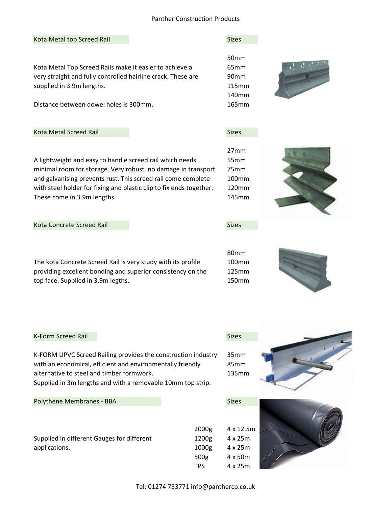#### Kota Metal top Screed Rail Sizes and Sizes Sizes and Sizes and Sizes Sizes and Sizes and Sizes and Sizes and Sizes

Kota Metal Top Screed Rails make it easier to achieve a 65mm very straight and fully controlled hairline crack. These are 90mm supplied in 3.9m lengths. 115mm

Distance between dowel holes is 300mm. 165mm

#### Kota Metal Screed Rail Sizes and Sizes and Sizes and Sizes and Sizes and Sizes and Sizes and Sizes and Sizes and Sizes and Sizes and Sizes and Sizes and Sizes and Sizes and Sizes and Sizes and Sizes and Sizes and Sizes and

A lightweight and easy to handle screed rail which needs 55mm minimal room for storage. Very robust, no damage in transport 75mm and galvanising prevents rust. This screed rail come complete 100mm with steel holder for fixing and plastic clip to fix ends together. 120mm These come in 3.9m lengths. These come in 3.9m lengths.

Kota Concrete Screed Rail Sizes and Sizes and Sizes and Sizes and Sizes and Sizes and Sizes and Sizes and Sizes

The kota Concrete Screed Rail is very study with its profile 100mm providing excellent bonding and superior consistency on the 125mm top face. Supplied in 3.9m legths. 150mm

| providing excellent bonding and superior consistency on tl |
|------------------------------------------------------------|
| op face. Supplied in 3.9m legths.                          |
|                                                            |

| <b>K-Form Screed Rail</b> | <b>Sizes</b> |
|---------------------------|--------------|
|                           |              |

K-FORM UPVC Screed Railing provides the construction industry 35mm with an economical, efficient and environmentally friendly 85mm alternative to steel and timber formwork. 135mm Supplied in 3m lengths and with a removable 10mm top strip.

#### Polythene Membranes - BBA Sizes

Supplied in different Gauges for different 1200g 4 x 25m applications. 1000g 4 x 25m







50mm 140mm



27mm

80mm

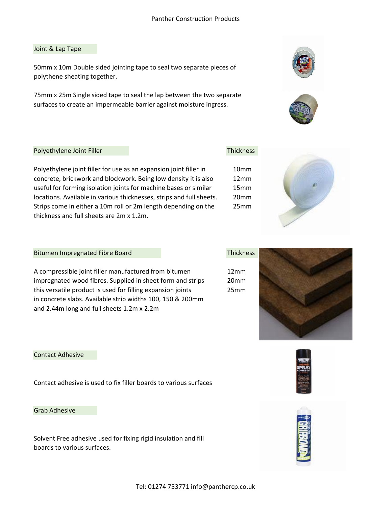#### Joint & Lap Tape

50mm x 10m Double sided jointing tape to seal two separate pieces of polythene sheating together.

75mm x 25m Single sided tape to seal the lap between the two separate surfaces to create an impermeable barrier against moisture ingress.





#### Polyethylene Joint Filler Thickness

Polyethylene joint filler for use as an expansion joint filler in concrete, brickwork and blockwork. Being low density it is also useful for forming isolation joints for machine bases or similar locations. Available in various thicknesses, strips and full sheets. Strips come in either a 10m roll or 2m length depending on the thickness and full sheets are 2m x 1.2m.

| 10mm             |  |
|------------------|--|
| 12 <sub>mm</sub> |  |
| 15mm             |  |
| 20mm             |  |
| 25mm             |  |
|                  |  |



#### Bitumen Impregnated Fibre Board Thickness

A compressible joint filler manufactured from bitumen 12mm impregnated wood fibres. Supplied in sheet form and strips 20mm this versatile product is used for filling expansion joints 25mm in concrete slabs. Available strip widths 100, 150 & 200mm and 2.44m long and full sheets 1.2m x 2.2m



#### Contact Adhesive

Contact adhesive is used to fix filler boards to various surfaces

#### Grab Adhesive

Solvent Free adhesive used for fixing rigid insulation and fill boards to various surfaces.



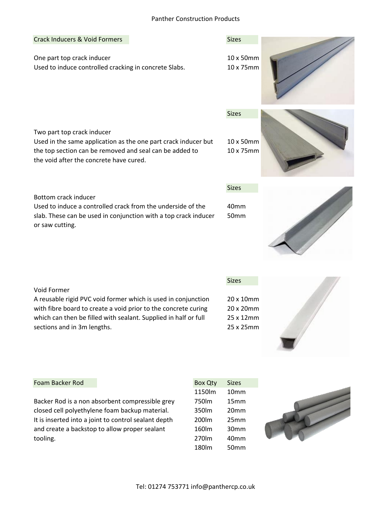# Tel: 01274 753771 info@panthercp.co.uk

### Crack Inducers & Void Formers Sizes Sizes

One part top crack inducer 10 x 50mm Used to induce controlled cracking in concrete Slabs. 10 x 75mm

## Two part top crack inducer

Used in the same application as the one part crack inducer but 10 x 50mm the top section can be removed and seal can be added to 10 x 75mm the void after the concrete have cured.

### Bottom crack inducer

Used to induce a controlled crack from the underside of the 40mm slab. These can be used in conjunction with a top crack inducer 50mm or saw cutting.

A reusable rigid PVC void former which is used in conjunction 20 x 10mm with fibre board to create a void prior to the concrete curing 20 x 20mm which can then be filled with sealant. Supplied in half or full 25 x 12mm sections and in 3m lengths. 25 x 25mm

#### Foam Backer Rod

Backer Rod is a non absorbent compressible grey closed cell polyethylene foam backup material. It is inserted into a joint to control sealant depth and create a backstop to allow proper sealant tooling. 270lm 40mm

| <b>Box Qty</b> | Sizes |
|----------------|-------|
| 1150lm         | 10mm  |
| 750lm          | 15mm  |
| 350lm          | 20mm  |
| 200lm          | 25mm  |
| 160lm          | 30mm  |
| 270lm          | 40mm  |
| 180lm          | 50mm  |

Sizes



Sizes













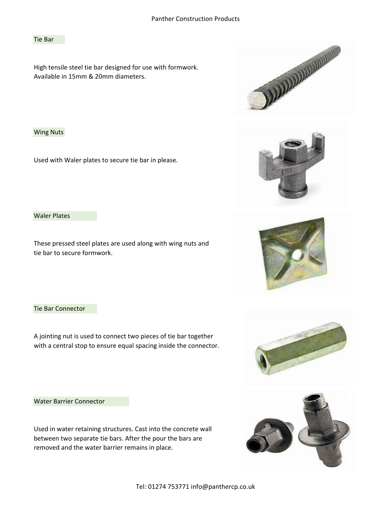#### Tie Bar

High tensile steel tie bar designed for use with formwork. Available in 15mm & 20mm diameters.

Wing Nuts

Used with Waler plates to secure tie bar in please.

Waler Plates

These pressed steel plates are used along with wing nuts and tie bar to secure formwork.

Tie Bar Connector

A jointing nut is used to connect two pieces of tie bar together with a central stop to ensure equal spacing inside the connector.

Water Barrier Connector

Used in water retaining structures. Cast into the concrete wall between two separate tie bars. After the pour the bars are removed and the water barrier remains in place.









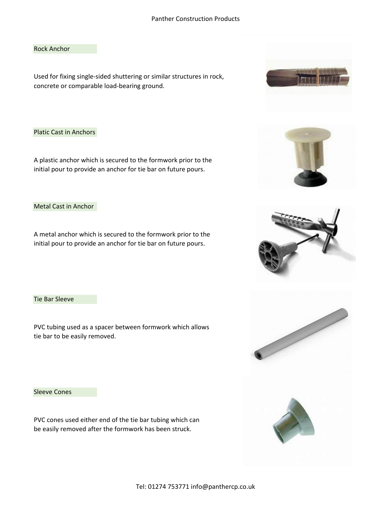Rock Anchor

Used for fixing single-sided shuttering or similar structures in rock, concrete or comparable load-bearing ground.

Platic Cast in Anchors

A plastic anchor which is secured to the formwork prior to the initial pour to provide an anchor for tie bar on future pours.

Metal Cast in Anchor

A metal anchor which is secured to the formwork prior to the initial pour to provide an anchor for tie bar on future pours.

Tie Bar Sleeve

PVC tubing used as a spacer between formwork which allows tie bar to be easily removed.

Sleeve Cones

PVC cones used either end of the tie bar tubing which can be easily removed after the formwork has been struck.











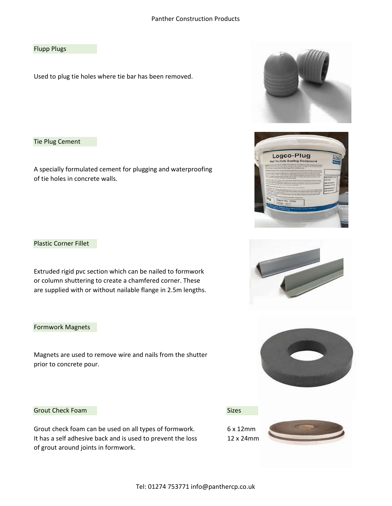#### Flupp Plugs

Used to plug tie holes where tie bar has been removed.

Tie Plug Cement

A specially formulated cement for plugging and waterproofing of tie holes in concrete walls.

Plastic Corner Fillet

Extruded rigid pvc section which can be nailed to formwork or column shuttering to create a chamfered corner. These are supplied with or without nailable flange in 2.5m lengths.

### Formwork Magnets

Magnets a[re used to remove wire and nails from the shutter](https://www.bing.com/images/search?view=detailV2&ccid=l53KseTw&id=881D55DB35D155D5B10280C7C0FDA05F956B0D86&thid=OIP.l53KseTw7lyWjAKcmggQNAHaEF&mediaurl=https://www.devoran-metals.co.uk/wp-content/uploads/2016/07/Chamfer-Edge-pROFILE.jpg&exph=1848&expw=3344&q=chamfered+plastic+fillet&simid=608015484340011863&selectedIndex=37) prior to concrete pour.

### Grout Check Foam Sizes and Sizes Sizes and Sizes Sizes and Sizes Sizes and Sizes Sizes and Sizes Sizes and Sizes and Sizes and Sizes and Sizes and Sizes and Sizes and Sizes and Sizes and Sizes and Sizes and Sizes and Sizes

Grout check foam can be used on all types of formwork. 6 x 12mm It has a self adhesive back and is used to prevent the loss 12 x 24mm of grout around joints in formwork.

Tel: 01274 753771 info@panthercp.co.uk









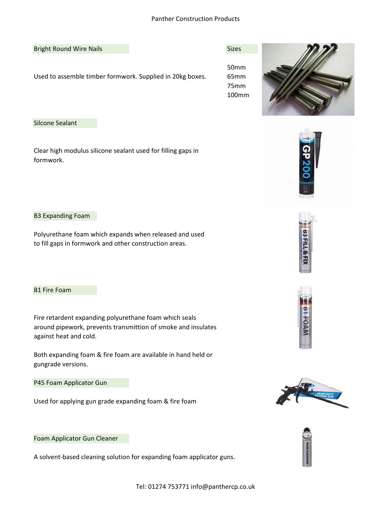#### Bright Round Wire Nails **Sizes** Sizes

Used to assemble timber formwork. Supplied in 20kg boxes. 65mm

50mm 75mm 100mm



Silcone Sealant

Clear high modulus silicone sealant used for filling gaps in formwork.



Polyurethane foam which expands when released and used to fill gaps in formwork and other construction areas.

B1 Fire Foam

Fire retardent expanding polyurethane foam which seals around pipework, prevents transmittion of smoke and insulates against heat and cold.

Both expanding foam & fire foam are available in hand held or gungrade versions.

P45 Foam Applicator Gun

Used for applying gun grade expanding foam & fire foam



**B3FILL&** 



Foam Applicator Gun Cleaner

A solvent-based cleaning solution for expanding foam applicator guns.